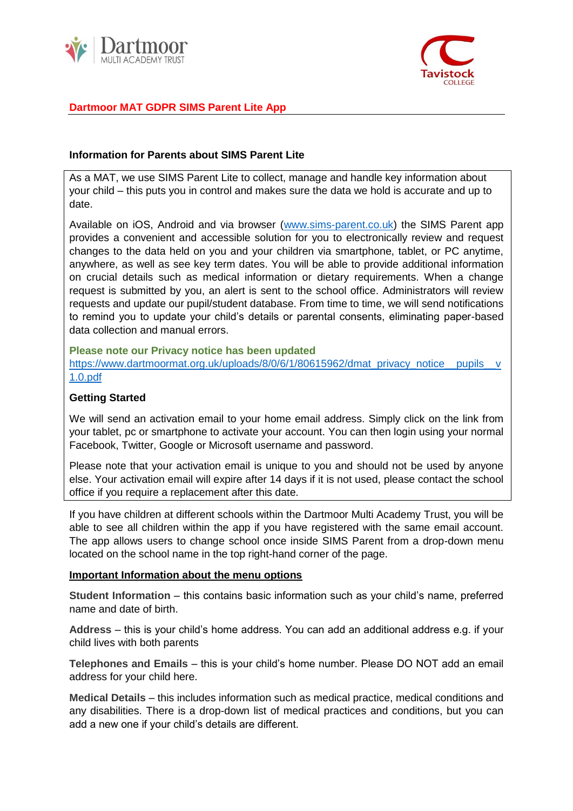



# **Dartmoor MAT GDPR SIMS Parent Lite App**

## **Information for Parents about SIMS Parent Lite**

As a MAT, we use SIMS Parent Lite to collect, manage and handle key information about your child – this puts you in control and makes sure the data we hold is accurate and up to date.

Available on iOS, Android and via browser [\(www.sims-parent.co.uk\)](http://www.sims-parent.co.uk/) the SIMS Parent app provides a convenient and accessible solution for you to electronically review and request changes to the data held on you and your children via smartphone, tablet, or PC anytime, anywhere, as well as see key term dates. You will be able to provide additional information on crucial details such as medical information or dietary requirements. When a change request is submitted by you, an alert is sent to the school office. Administrators will review requests and update our pupil/student database. From time to time, we will send notifications to remind you to update your child's details or parental consents, eliminating paper-based data collection and manual errors.

**Please note our Privacy notice has been updated**  [https://www.dartmoormat.org.uk/uploads/8/0/6/1/80615962/dmat\\_privacy\\_notice\\_\\_pupils\\_\\_v](https://www.dartmoormat.org.uk/uploads/8/0/6/1/80615962/dmat_privacy_notice__pupils__v1.0.pdf) [1.0.pdf](https://www.dartmoormat.org.uk/uploads/8/0/6/1/80615962/dmat_privacy_notice__pupils__v1.0.pdf)

### **Getting Started**

We will send an activation email to your home email address. Simply click on the link from your tablet, pc or smartphone to activate your account. You can then login using your normal Facebook, Twitter, Google or Microsoft username and password.

Please note that your activation email is unique to you and should not be used by anyone else. Your activation email will expire after 14 days if it is not used, please contact the school office if you require a replacement after this date.

If you have children at different schools within the Dartmoor Multi Academy Trust, you will be able to see all children within the app if you have registered with the same email account. The app allows users to change school once inside SIMS Parent from a drop-down menu located on the school name in the top right-hand corner of the page.

#### **Important Information about the menu options**

**Student Information** – this contains basic information such as your child's name, preferred name and date of birth.

**Address** – this is your child's home address. You can add an additional address e.g. if your child lives with both parents

**Telephones and Emails** – this is your child's home number. Please DO NOT add an email address for your child here.

**Medical Details** – this includes information such as medical practice, medical conditions and any disabilities. There is a drop-down list of medical practices and conditions, but you can add a new one if your child's details are different.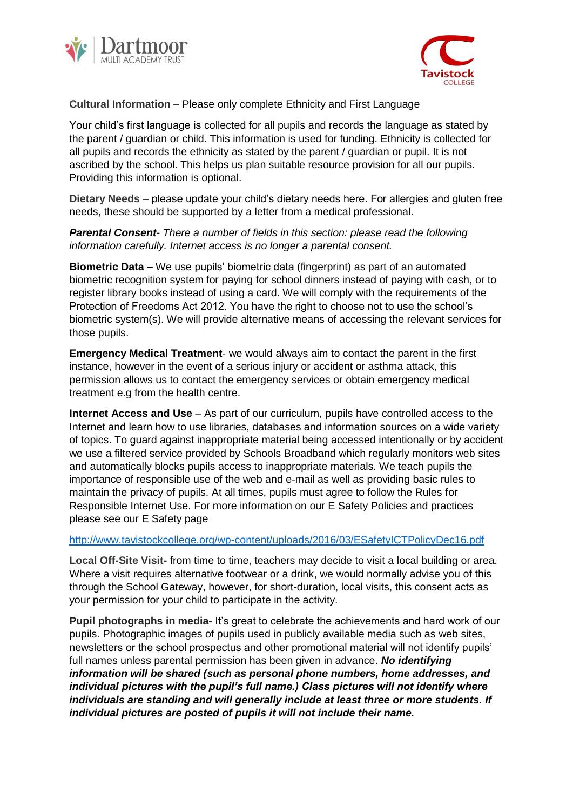



## **Cultural Information** – Please only complete Ethnicity and First Language

Your child's first language is collected for all pupils and records the language as stated by the parent / guardian or child. This information is used for funding. Ethnicity is collected for all pupils and records the ethnicity as stated by the parent / guardian or pupil. It is not ascribed by the school. This helps us plan suitable resource provision for all our pupils. Providing this information is optional.

**Dietary Needs** – please update your child's dietary needs here. For allergies and gluten free needs, these should be supported by a letter from a medical professional.

## *Parental Consent- There a number of fields in this section: please read the following information carefully. Internet access is no longer a parental consent.*

**Biometric Data –** We use pupils' biometric data (fingerprint) as part of an automated biometric recognition system for paying for school dinners instead of paying with cash, or to register library books instead of using a card. We will comply with the requirements of the Protection of Freedoms Act 2012. You have the right to choose not to use the school's biometric system(s). We will provide alternative means of accessing the relevant services for those pupils.

**Emergency Medical Treatment**- we would always aim to contact the parent in the first instance, however in the event of a serious injury or accident or asthma attack, this permission allows us to contact the emergency services or obtain emergency medical treatment e.g from the health centre.

**Internet Access and Use** – As part of our curriculum, pupils have controlled access to the Internet and learn how to use libraries, databases and information sources on a wide variety of topics. To guard against inappropriate material being accessed intentionally or by accident we use a filtered service provided by Schools Broadband which regularly monitors web sites and automatically blocks pupils access to inappropriate materials. We teach pupils the importance of responsible use of the web and e-mail as well as providing basic rules to maintain the privacy of pupils. At all times, pupils must agree to follow the Rules for Responsible Internet Use. For more information on our E Safety Policies and practices please see our E Safety page

#### <http://www.tavistockcollege.org/wp-content/uploads/2016/03/ESafetyICTPolicyDec16.pdf>

**Local Off-Site Visit-** from time to time, teachers may decide to visit a local building or area. Where a visit requires alternative footwear or a drink, we would normally advise you of this through the School Gateway, however, for short-duration, local visits, this consent acts as your permission for your child to participate in the activity.

**Pupil photographs in media-** It's great to celebrate the achievements and hard work of our pupils. Photographic images of pupils used in publicly available media such as web sites, newsletters or the school prospectus and other promotional material will not identify pupils' full names unless parental permission has been given in advance. *No identifying information will be shared (such as personal phone numbers, home addresses, and individual pictures with the pupil's full name.) Class pictures will not identify where individuals are standing and will generally include at least three or more students. If individual pictures are posted of pupils it will not include their name.*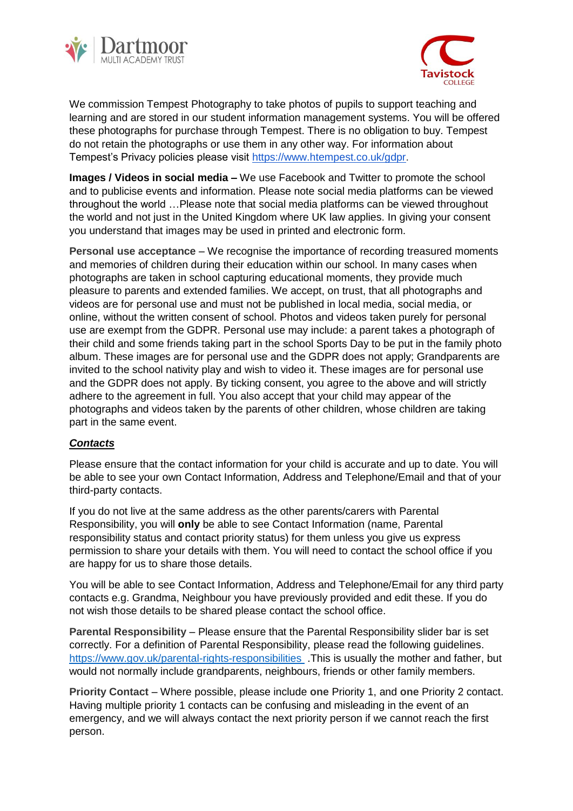



We commission Tempest Photography to take photos of pupils to support teaching and learning and are stored in our student information management systems. You will be offered these photographs for purchase through Tempest. There is no obligation to buy. Tempest do not retain the photographs or use them in any other way. For information about Tempest's Privacy policies please visit [https://www.htempest.co.uk/gdpr.](https://www.htempest.co.uk/gdpr)

**Images / Videos in social media –** We use Facebook and Twitter to promote the school and to publicise events and information. Please note social media platforms can be viewed throughout the world …Please note that social media platforms can be viewed throughout the world and not just in the United Kingdom where UK law applies. In giving your consent you understand that images may be used in printed and electronic form.

**Personal use acceptance** – We recognise the importance of recording treasured moments and memories of children during their education within our school. In many cases when photographs are taken in school capturing educational moments, they provide much pleasure to parents and extended families. We accept, on trust, that all photographs and videos are for personal use and must not be published in local media, social media, or online, without the written consent of school. Photos and videos taken purely for personal use are exempt from the GDPR. Personal use may include: a parent takes a photograph of their child and some friends taking part in the school Sports Day to be put in the family photo album. These images are for personal use and the GDPR does not apply; Grandparents are invited to the school nativity play and wish to video it. These images are for personal use and the GDPR does not apply. By ticking consent, you agree to the above and will strictly adhere to the agreement in full. You also accept that your child may appear of the photographs and videos taken by the parents of other children, whose children are taking part in the same event.

## *Contacts*

Please ensure that the contact information for your child is accurate and up to date. You will be able to see your own Contact Information, Address and Telephone/Email and that of your third-party contacts.

If you do not live at the same address as the other parents/carers with Parental Responsibility, you will **only** be able to see Contact Information (name, Parental responsibility status and contact priority status) for them unless you give us express permission to share your details with them. You will need to contact the school office if you are happy for us to share those details.

You will be able to see Contact Information, Address and Telephone/Email for any third party contacts e.g. Grandma, Neighbour you have previously provided and edit these. If you do not wish those details to be shared please contact the school office.

**Parental Responsibility** – Please ensure that the Parental Responsibility slider bar is set correctly. For a definition of Parental Responsibility, please read the following guidelines. <https://www.gov.uk/parental-rights-responsibilities>.This is usually the mother and father, but would not normally include grandparents, neighbours, friends or other family members.

**Priority Contact** – Where possible, please include **one** Priority 1, and **one** Priority 2 contact. Having multiple priority 1 contacts can be confusing and misleading in the event of an emergency, and we will always contact the next priority person if we cannot reach the first person.